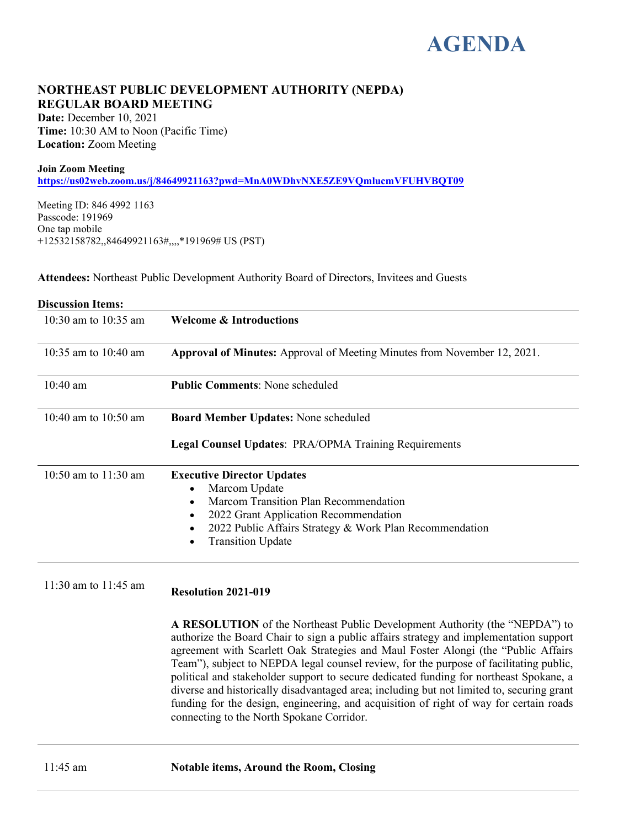# **AGENDA**

## **NORTHEAST PUBLIC DEVELOPMENT AUTHORITY (NEPDA) REGULAR BOARD MEETING**

**Date:** December 10, 2021 **Time:** 10:30 AM to Noon (Pacific Time) **Location:** Zoom Meeting

#### **Join Zoom Meeting**

**<https://us02web.zoom.us/j/84649921163?pwd=MnA0WDhvNXE5ZE9VQmlucmVFUHVBQT09>**

Meeting ID: 846 4992 1163 Passcode: 191969 One tap mobile +12532158782,,84649921163#,,,,\*191969# US (PST)

**Attendees:** Northeast Public Development Authority Board of Directors, Invitees and Guests

| <b>Discussion Items:</b> |                                                                                                                                                                                                                                               |
|--------------------------|-----------------------------------------------------------------------------------------------------------------------------------------------------------------------------------------------------------------------------------------------|
| 10:30 am to 10:35 am     | Welcome & Introductions                                                                                                                                                                                                                       |
| 10:35 am to 10:40 am     | <b>Approval of Minutes:</b> Approval of Meeting Minutes from November 12, 2021.                                                                                                                                                               |
| $10:40$ am               | <b>Public Comments: None scheduled</b>                                                                                                                                                                                                        |
| 10:40 am to $10:50$ am   | Board Member Updates: None scheduled                                                                                                                                                                                                          |
|                          | <b>Legal Counsel Updates: PRA/OPMA Training Requirements</b>                                                                                                                                                                                  |
| 10:50 am to $11:30$ am   | <b>Executive Director Updates</b><br>Marcom Update<br>Marcom Transition Plan Recommendation<br>2022 Grant Application Recommendation<br>$\bullet$<br>2022 Public Affairs Strategy & Work Plan Recommendation<br><b>Transition Update</b><br>٠ |

11:30 am to 11:45 am **Resolution 2021-019**

**A RESOLUTION** of the Northeast Public Development Authority (the "NEPDA") to authorize the Board Chair to sign a public affairs strategy and implementation support agreement with Scarlett Oak Strategies and Maul Foster Alongi (the "Public Affairs Team"), subject to NEPDA legal counsel review, for the purpose of facilitating public, political and stakeholder support to secure dedicated funding for northeast Spokane, a diverse and historically disadvantaged area; including but not limited to, securing grant funding for the design, engineering, and acquisition of right of way for certain roads connecting to the North Spokane Corridor.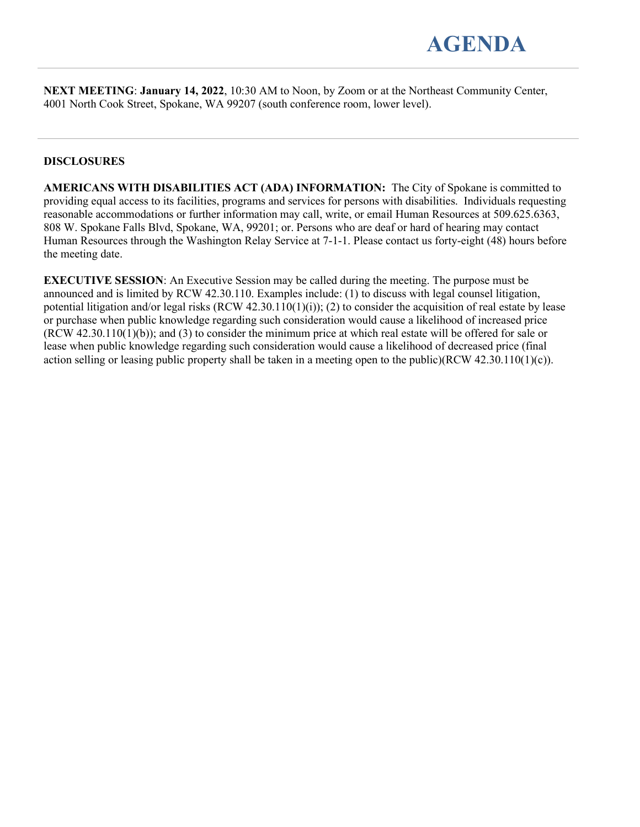

**NEXT MEETING**: **January 14, 2022**, 10:30 AM to Noon, by Zoom or at the Northeast Community Center, 4001 North Cook Street, Spokane, WA 99207 (south conference room, lower level).

#### **DISCLOSURES**

**AMERICANS WITH DISABILITIES ACT (ADA) INFORMATION:** The City of Spokane is committed to providing equal access to its facilities, programs and services for persons with disabilities. Individuals requesting reasonable accommodations or further information may call, write, or email Human Resources at 509.625.6363, 808 W. Spokane Falls Blvd, Spokane, WA, 99201; or. Persons who are deaf or hard of hearing may contact Human Resources through the Washington Relay Service at 7-1-1. Please contact us forty-eight (48) hours before the meeting date.

**EXECUTIVE SESSION**: An Executive Session may be called during the meeting. The purpose must be announced and is limited by RCW 42.30.110. Examples include: (1) to discuss with legal counsel litigation, potential litigation and/or legal risks  $(RCW 42.30.110(1)(i))$ ; (2) to consider the acquisition of real estate by lease or purchase when public knowledge regarding such consideration would cause a likelihood of increased price (RCW 42.30.110(1)(b)); and (3) to consider the minimum price at which real estate will be offered for sale or lease when public knowledge regarding such consideration would cause a likelihood of decreased price (final action selling or leasing public property shall be taken in a meeting open to the public)(RCW 42.30.110(1)(c)).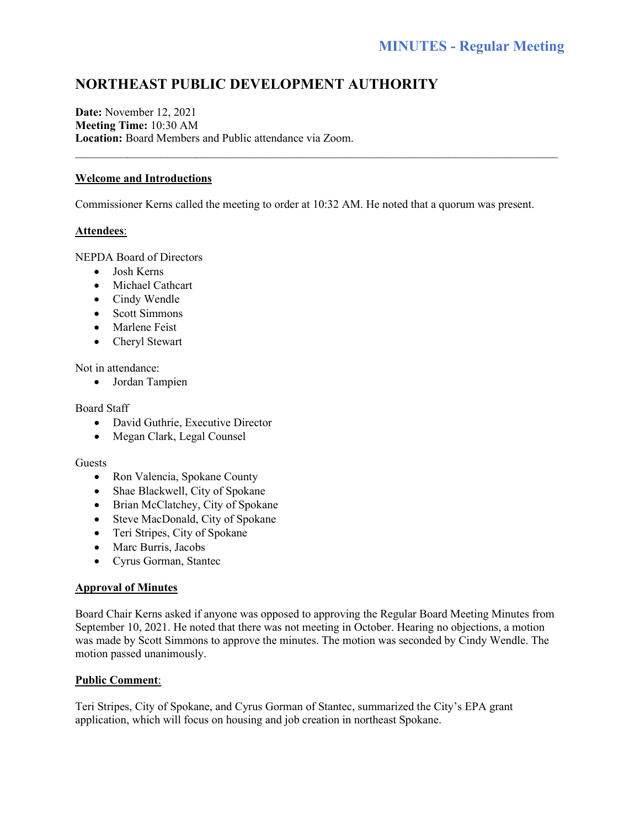# **NORTHEAST PUBLIC DEVELOPMENT AUTHORITY**

**Date:** November 12, 2021 **Meeting Time:** 10:30 AM **Location:** Board Members and Public attendance via Zoom.

#### **Welcome and Introductions**

Commissioner Kerns called the meeting to order at 10:32 AM. He noted that a quorum was present.

 $\mathcal{L}_\text{max}$  and  $\mathcal{L}_\text{max}$  and  $\mathcal{L}_\text{max}$  and  $\mathcal{L}_\text{max}$  and  $\mathcal{L}_\text{max}$  and  $\mathcal{L}_\text{max}$ 

#### **Attendees**:

NEPDA Board of Directors

- Josh Kerns
- Michael Cathcart
- Cindy Wendle
- Scott Simmons
- Marlene Feist
- Cheryl Stewart

Not in attendance:

• Jordan Tampien

#### Board Staff

- David Guthrie, Executive Director
- Megan Clark, Legal Counsel

#### Guests

- Ron Valencia, Spokane County
- Shae Blackwell, City of Spokane
- Brian McClatchey, City of Spokane
- Steve MacDonald, City of Spokane
- Teri Stripes, City of Spokane
- Marc Burris, Jacobs
- Cyrus Gorman, Stantec

#### **Approval of Minutes**

Board Chair Kerns asked if anyone was opposed to approving the Regular Board Meeting Minutes from September 10, 2021. He noted that there was not meeting in October. Hearing no objections, a motion was made by Scott Simmons to approve the minutes. The motion was seconded by Cindy Wendle. The motion passed unanimously.

#### **Public Comment**:

Teri Stripes, City of Spokane, and Cyrus Gorman of Stantec, summarized the City's EPA grant application, which will focus on housing and job creation in northeast Spokane.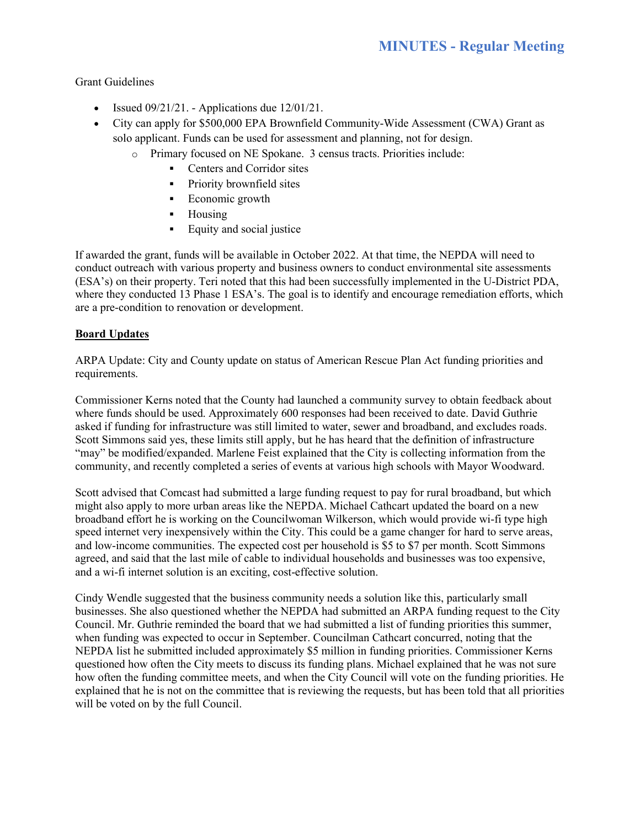Grant Guidelines

- Issued  $09/21/21$ . Applications due  $12/01/21$ .
- City can apply for \$500,000 EPA Brownfield Community-Wide Assessment (CWA) Grant as solo applicant. Funds can be used for assessment and planning, not for design.
	- o Primary focused on NE Spokane. 3 census tracts. Priorities include:
		- Centers and Corridor sites
		- **Priority brownfield sites**
		- **Economic growth**
		- Housing
		- **Equity and social justice**

If awarded the grant, funds will be available in October 2022. At that time, the NEPDA will need to conduct outreach with various property and business owners to conduct environmental site assessments (ESA's) on their property. Teri noted that this had been successfully implemented in the U-District PDA, where they conducted 13 Phase 1 ESA's. The goal is to identify and encourage remediation efforts, which are a pre-condition to renovation or development.

### **Board Updates**

ARPA Update: City and County update on status of American Rescue Plan Act funding priorities and requirements.

Commissioner Kerns noted that the County had launched a community survey to obtain feedback about where funds should be used. Approximately 600 responses had been received to date. David Guthrie asked if funding for infrastructure was still limited to water, sewer and broadband, and excludes roads. Scott Simmons said yes, these limits still apply, but he has heard that the definition of infrastructure "may" be modified/expanded. Marlene Feist explained that the City is collecting information from the community, and recently completed a series of events at various high schools with Mayor Woodward.

Scott advised that Comcast had submitted a large funding request to pay for rural broadband, but which might also apply to more urban areas like the NEPDA. Michael Cathcart updated the board on a new broadband effort he is working on the Councilwoman Wilkerson, which would provide wi-fi type high speed internet very inexpensively within the City. This could be a game changer for hard to serve areas, and low-income communities. The expected cost per household is \$5 to \$7 per month. Scott Simmons agreed, and said that the last mile of cable to individual households and businesses was too expensive, and a wi-fi internet solution is an exciting, cost-effective solution.

Cindy Wendle suggested that the business community needs a solution like this, particularly small businesses. She also questioned whether the NEPDA had submitted an ARPA funding request to the City Council. Mr. Guthrie reminded the board that we had submitted a list of funding priorities this summer, when funding was expected to occur in September. Councilman Cathcart concurred, noting that the NEPDA list he submitted included approximately \$5 million in funding priorities. Commissioner Kerns questioned how often the City meets to discuss its funding plans. Michael explained that he was not sure how often the funding committee meets, and when the City Council will vote on the funding priorities. He explained that he is not on the committee that is reviewing the requests, but has been told that all priorities will be voted on by the full Council.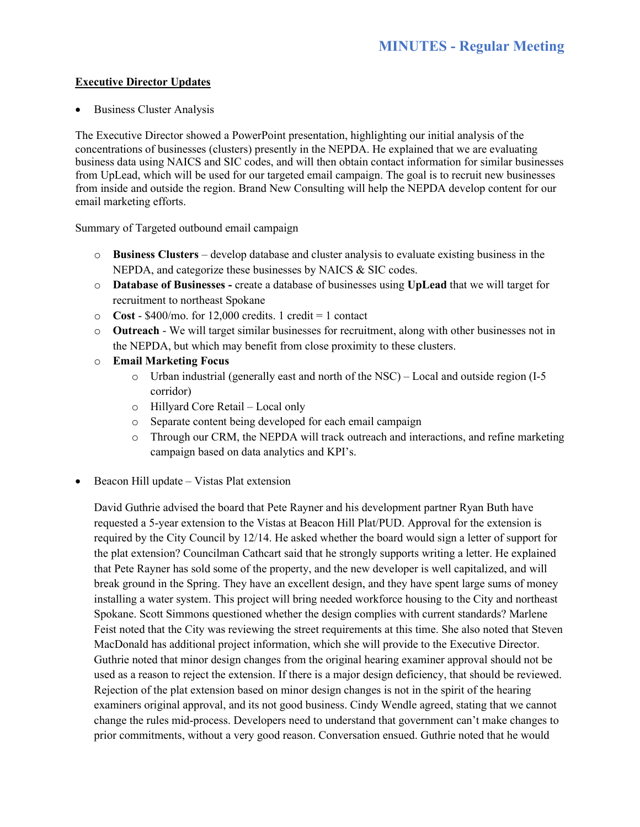#### **Executive Director Updates**

• Business Cluster Analysis

The Executive Director showed a PowerPoint presentation, highlighting our initial analysis of the concentrations of businesses (clusters) presently in the NEPDA. He explained that we are evaluating business data using NAICS and SIC codes, and will then obtain contact information for similar businesses from UpLead, which will be used for our targeted email campaign. The goal is to recruit new businesses from inside and outside the region. Brand New Consulting will help the NEPDA develop content for our email marketing efforts.

Summary of Targeted outbound email campaign

- o **Business Clusters** develop database and cluster analysis to evaluate existing business in the NEPDA, and categorize these businesses by NAICS & SIC codes.
- o **Database of Businesses -** create a database of businesses using **UpLead** that we will target for recruitment to northeast Spokane
- $\degree$  **Cost** \$400/mo. for 12,000 credits. 1 credit = 1 contact
- o **Outreach** We will target similar businesses for recruitment, along with other businesses not in the NEPDA, but which may benefit from close proximity to these clusters.
- o **Email Marketing Focus**
	- o Urban industrial (generally east and north of the NSC) Local and outside region (I-5 corridor)
	- o Hillyard Core Retail Local only
	- o Separate content being developed for each email campaign
	- o Through our CRM, the NEPDA will track outreach and interactions, and refine marketing campaign based on data analytics and KPI's.
- Beacon Hill update Vistas Plat extension

David Guthrie advised the board that Pete Rayner and his development partner Ryan Buth have requested a 5-year extension to the Vistas at Beacon Hill Plat/PUD. Approval for the extension is required by the City Council by 12/14. He asked whether the board would sign a letter of support for the plat extension? Councilman Cathcart said that he strongly supports writing a letter. He explained that Pete Rayner has sold some of the property, and the new developer is well capitalized, and will break ground in the Spring. They have an excellent design, and they have spent large sums of money installing a water system. This project will bring needed workforce housing to the City and northeast Spokane. Scott Simmons questioned whether the design complies with current standards? Marlene Feist noted that the City was reviewing the street requirements at this time. She also noted that Steven MacDonald has additional project information, which she will provide to the Executive Director. Guthrie noted that minor design changes from the original hearing examiner approval should not be used as a reason to reject the extension. If there is a major design deficiency, that should be reviewed. Rejection of the plat extension based on minor design changes is not in the spirit of the hearing examiners original approval, and its not good business. Cindy Wendle agreed, stating that we cannot change the rules mid-process. Developers need to understand that government can't make changes to prior commitments, without a very good reason. Conversation ensued. Guthrie noted that he would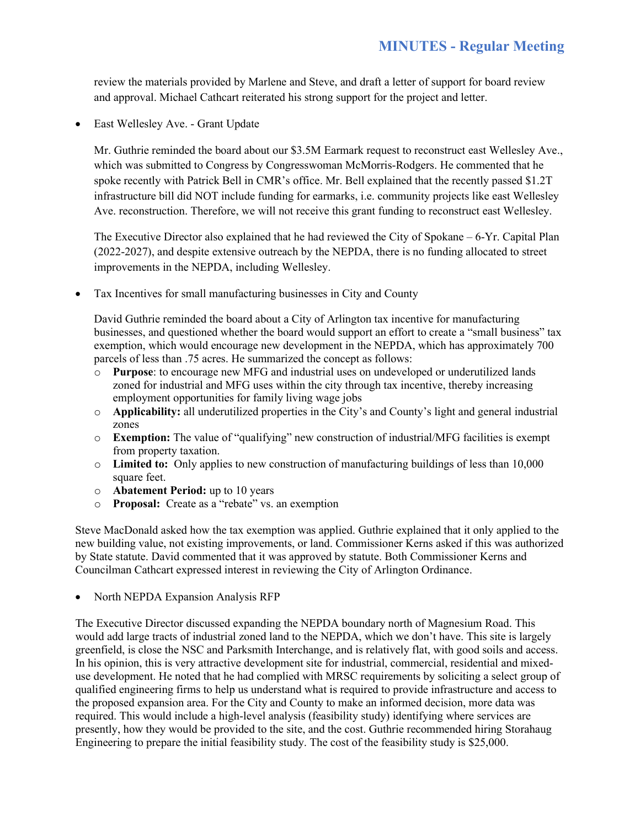review the materials provided by Marlene and Steve, and draft a letter of support for board review and approval. Michael Cathcart reiterated his strong support for the project and letter.

East Wellesley Ave. - Grant Update

Mr. Guthrie reminded the board about our \$3.5M Earmark request to reconstruct east Wellesley Ave., which was submitted to Congress by Congresswoman McMorris-Rodgers. He commented that he spoke recently with Patrick Bell in CMR's office. Mr. Bell explained that the recently passed \$1.2T infrastructure bill did NOT include funding for earmarks, i.e. community projects like east Wellesley Ave. reconstruction. Therefore, we will not receive this grant funding to reconstruct east Wellesley.

The Executive Director also explained that he had reviewed the City of Spokane – 6-Yr. Capital Plan (2022-2027), and despite extensive outreach by the NEPDA, there is no funding allocated to street improvements in the NEPDA, including Wellesley.

• Tax Incentives for small manufacturing businesses in City and County

David Guthrie reminded the board about a City of Arlington tax incentive for manufacturing businesses, and questioned whether the board would support an effort to create a "small business" tax exemption, which would encourage new development in the NEPDA, which has approximately 700 parcels of less than .75 acres. He summarized the concept as follows:

- o **Purpose**: to encourage new MFG and industrial uses on undeveloped or underutilized lands zoned for industrial and MFG uses within the city through tax incentive, thereby increasing employment opportunities for family living wage jobs
- o **Applicability:** all underutilized properties in the City's and County's light and general industrial zones
- o **Exemption:** The value of "qualifying" new construction of industrial/MFG facilities is exempt from property taxation.
- o **Limited to:** Only applies to new construction of manufacturing buildings of less than 10,000 square feet.
- o **Abatement Period:** up to 10 years
- o **Proposal:** Create as a "rebate" vs. an exemption

Steve MacDonald asked how the tax exemption was applied. Guthrie explained that it only applied to the new building value, not existing improvements, or land. Commissioner Kerns asked if this was authorized by State statute. David commented that it was approved by statute. Both Commissioner Kerns and Councilman Cathcart expressed interest in reviewing the City of Arlington Ordinance.

• North NEPDA Expansion Analysis RFP

The Executive Director discussed expanding the NEPDA boundary north of Magnesium Road. This would add large tracts of industrial zoned land to the NEPDA, which we don't have. This site is largely greenfield, is close the NSC and Parksmith Interchange, and is relatively flat, with good soils and access. In his opinion, this is very attractive development site for industrial, commercial, residential and mixeduse development. He noted that he had complied with MRSC requirements by soliciting a select group of qualified engineering firms to help us understand what is required to provide infrastructure and access to the proposed expansion area. For the City and County to make an informed decision, more data was required. This would include a high-level analysis (feasibility study) identifying where services are presently, how they would be provided to the site, and the cost. Guthrie recommended hiring Storahaug Engineering to prepare the initial feasibility study. The cost of the feasibility study is \$25,000.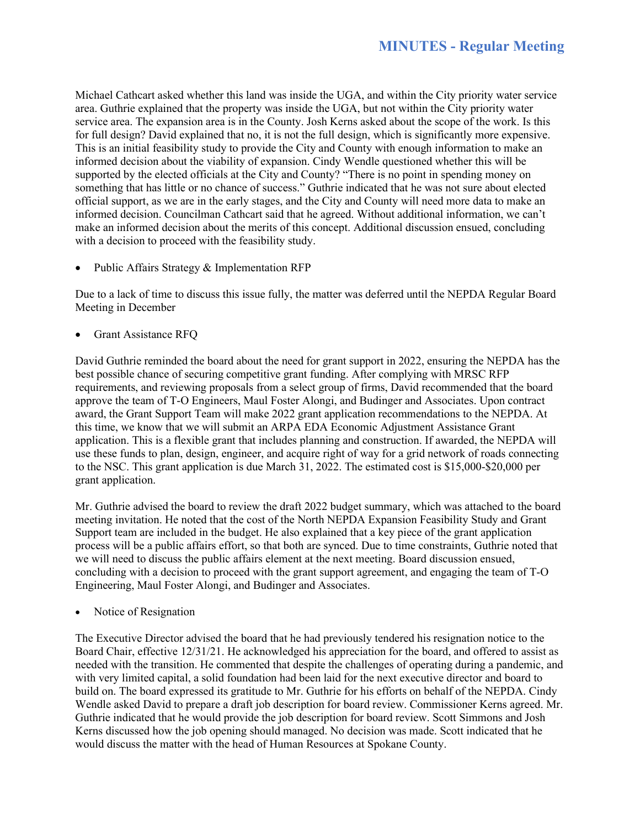Michael Cathcart asked whether this land was inside the UGA, and within the City priority water service area. Guthrie explained that the property was inside the UGA, but not within the City priority water service area. The expansion area is in the County. Josh Kerns asked about the scope of the work. Is this for full design? David explained that no, it is not the full design, which is significantly more expensive. This is an initial feasibility study to provide the City and County with enough information to make an informed decision about the viability of expansion. Cindy Wendle questioned whether this will be supported by the elected officials at the City and County? "There is no point in spending money on something that has little or no chance of success." Guthrie indicated that he was not sure about elected official support, as we are in the early stages, and the City and County will need more data to make an informed decision. Councilman Cathcart said that he agreed. Without additional information, we can't make an informed decision about the merits of this concept. Additional discussion ensued, concluding with a decision to proceed with the feasibility study.

Public Affairs Strategy & Implementation RFP

Due to a lack of time to discuss this issue fully, the matter was deferred until the NEPDA Regular Board Meeting in December

• Grant Assistance RFQ

David Guthrie reminded the board about the need for grant support in 2022, ensuring the NEPDA has the best possible chance of securing competitive grant funding. After complying with MRSC RFP requirements, and reviewing proposals from a select group of firms, David recommended that the board approve the team of T-O Engineers, Maul Foster Alongi, and Budinger and Associates. Upon contract award, the Grant Support Team will make 2022 grant application recommendations to the NEPDA. At this time, we know that we will submit an ARPA EDA Economic Adjustment Assistance Grant application. This is a flexible grant that includes planning and construction. If awarded, the NEPDA will use these funds to plan, design, engineer, and acquire right of way for a grid network of roads connecting to the NSC. This grant application is due March 31, 2022. The estimated cost is \$15,000-\$20,000 per grant application.

Mr. Guthrie advised the board to review the draft 2022 budget summary, which was attached to the board meeting invitation. He noted that the cost of the North NEPDA Expansion Feasibility Study and Grant Support team are included in the budget. He also explained that a key piece of the grant application process will be a public affairs effort, so that both are synced. Due to time constraints, Guthrie noted that we will need to discuss the public affairs element at the next meeting. Board discussion ensued, concluding with a decision to proceed with the grant support agreement, and engaging the team of T-O Engineering, Maul Foster Alongi, and Budinger and Associates.

• Notice of Resignation

The Executive Director advised the board that he had previously tendered his resignation notice to the Board Chair, effective 12/31/21. He acknowledged his appreciation for the board, and offered to assist as needed with the transition. He commented that despite the challenges of operating during a pandemic, and with very limited capital, a solid foundation had been laid for the next executive director and board to build on. The board expressed its gratitude to Mr. Guthrie for his efforts on behalf of the NEPDA. Cindy Wendle asked David to prepare a draft job description for board review. Commissioner Kerns agreed. Mr. Guthrie indicated that he would provide the job description for board review. Scott Simmons and Josh Kerns discussed how the job opening should managed. No decision was made. Scott indicated that he would discuss the matter with the head of Human Resources at Spokane County.